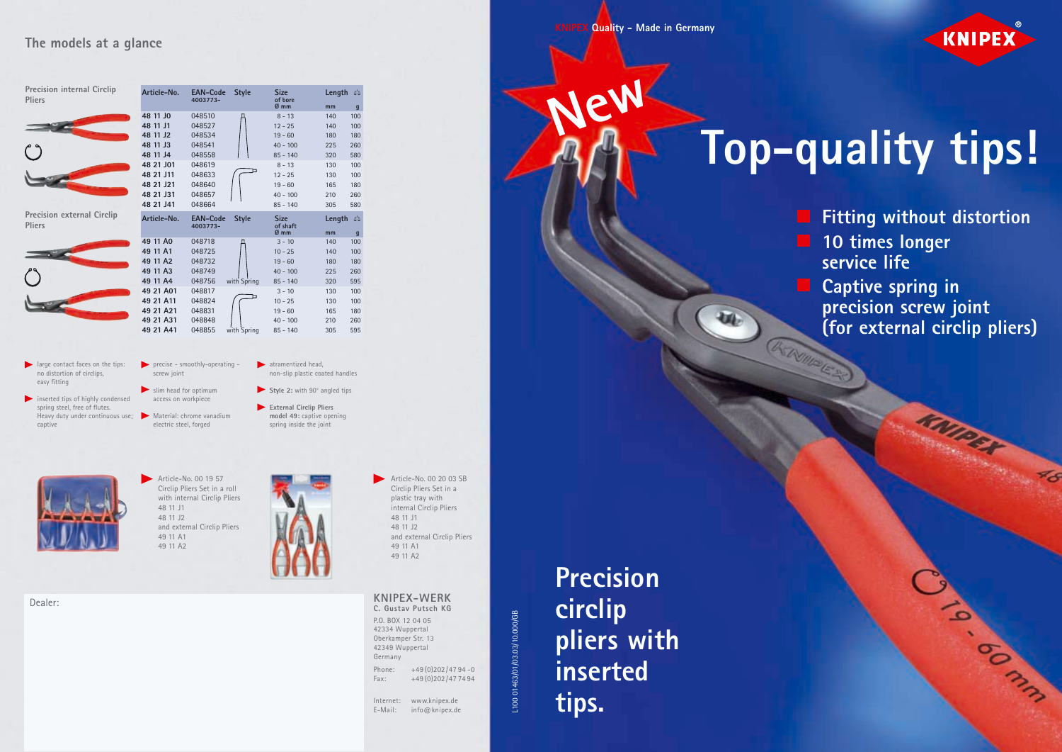## **Precision circlip pliers with inserted tips.**

### **The models at a glance**

**Precision internal Circlip Pliers**



**Precision external Circlip Pliers**



- I arge contact faces on the tips: no distortion of circlips, easy fitting
- $\blacktriangleright$  inserted tips of highly condensed spring steel, free of flutes. Heavy duty under continuous use; Material: chrome vanadium ❿ captive







Circlip Pliers Set in a roll 48 11 J1 48 11 J2 49 11 A1 49 11 A2

**Fitting without distortion 10 times longer service life Captive spring in precision screw joint (for external circlip pliers)**

**RODER** 

**CALCS** 

 $\mathscr{C}_{\mathcal{S}}$ 

Article-No. 00 20 03 SB Circlip Pliers Set in a plastic tray with internal Circlip Pliers 48 11 J1 48 11 J2 and external Circlip Pliers 49 11 A1 49 11 A2

- screw joint
	- access on workpiece
	- electric steel, forged



**External Circlip Pliers** ❿ **model 49:** captive opening spring inside the joint

## **KNIPEX Quality - Made in Germany**

L100 01463/01/03.03/10.000/GB L100 01463/01/03.03/10.000/GB

**New**

# **Top-quality tips!**

**4003773- of bore**

**v** atramentized head, non-slip plastic coated handles Style 2: with 90° angled tips

with Spring

- $\blacktriangleright$  slim head for optimum
- 







of bore<br>
Ø mm mm

**Article-No. EAN-Code Style Size Length**  $\phi$ 

**48 11 J0** 048510 Д 8-13 140 100 **48 11 J1** 048527 12 - 25 140 100 **48 11 J2** 048534 19 - 60 180 180 **48 11 J3** 048541 1 40 - 100 225 260

#### **KNIPEX-WERK**

|                                                                                          | C. Gustav Putsch KG                            |
|------------------------------------------------------------------------------------------|------------------------------------------------|
| P.O. BOX 12 04 05<br>42334 Wuppertal<br>Oberkamper Str. 13<br>42349 Wuppertal<br>Germany |                                                |
| Phone:<br>Fax:                                                                           | $+49(0)202/4794 - 0$<br>+49 (0) 202 / 47 74 94 |
|                                                                                          | Internet: www.knipex.de                        |

E-Mail: info@knipex.de

Dealer: